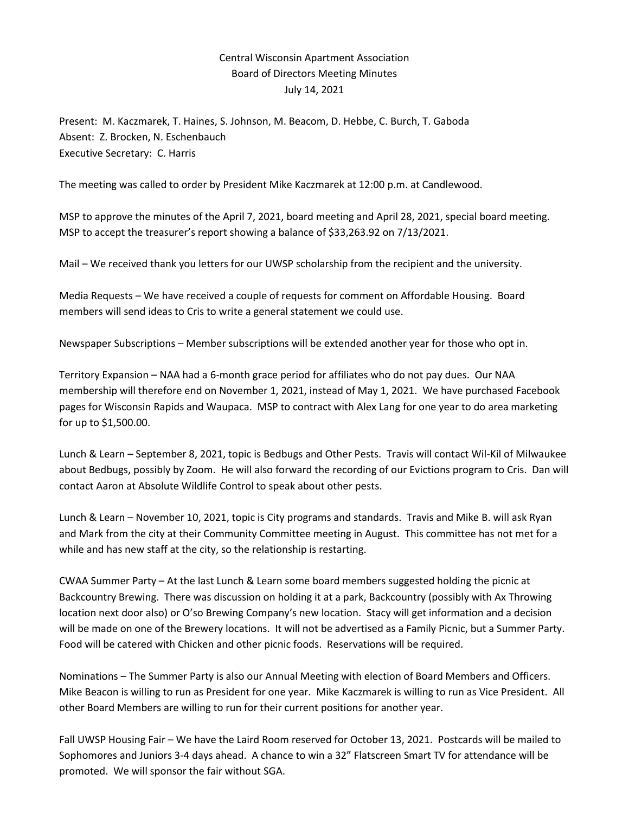## Central Wisconsin Apartment Association Board of Directors Meeting Minutes July 14, 2021

Present: M. Kaczmarek, T. Haines, S. Johnson, M. Beacom, D. Hebbe, C. Burch, T. Gaboda Absent: Z. Brocken, N. Eschenbauch Executive Secretary: C. Harris

The meeting was called to order by President Mike Kaczmarek at 12:00 p.m. at Candlewood.

MSP to approve the minutes of the April 7, 2021, board meeting and April 28, 2021, special board meeting. MSP to accept the treasurer's report showing a balance of \$33,263.92 on 7/13/2021.

Mail – We received thank you letters for our UWSP scholarship from the recipient and the university.

Media Requests – We have received a couple of requests for comment on Affordable Housing. Board members will send ideas to Cris to write a general statement we could use.

Newspaper Subscriptions – Member subscriptions will be extended another year for those who opt in.

Territory Expansion – NAA had a 6-month grace period for affiliates who do not pay dues. Our NAA membership will therefore end on November 1, 2021, instead of May 1, 2021. We have purchased Facebook pages for Wisconsin Rapids and Waupaca. MSP to contract with Alex Lang for one year to do area marketing for up to \$1,500.00.

Lunch & Learn – September 8, 2021, topic is Bedbugs and Other Pests. Travis will contact Wil-Kil of Milwaukee about Bedbugs, possibly by Zoom. He will also forward the recording of our Evictions program to Cris. Dan will contact Aaron at Absolute Wildlife Control to speak about other pests.

Lunch & Learn – November 10, 2021, topic is City programs and standards. Travis and Mike B. will ask Ryan and Mark from the city at their Community Committee meeting in August. This committee has not met for a while and has new staff at the city, so the relationship is restarting.

CWAA Summer Party – At the last Lunch & Learn some board members suggested holding the picnic at Backcountry Brewing. There was discussion on holding it at a park, Backcountry (possibly with Ax Throwing location next door also) or O'so Brewing Company's new location. Stacy will get information and a decision will be made on one of the Brewery locations. It will not be advertised as a Family Picnic, but a Summer Party. Food will be catered with Chicken and other picnic foods. Reservations will be required.

Nominations – The Summer Party is also our Annual Meeting with election of Board Members and Officers. Mike Beacon is willing to run as President for one year. Mike Kaczmarek is willing to run as Vice President. All other Board Members are willing to run for their current positions for another year.

Fall UWSP Housing Fair – We have the Laird Room reserved for October 13, 2021. Postcards will be mailed to Sophomores and Juniors 3-4 days ahead. A chance to win a 32" Flatscreen Smart TV for attendance will be promoted. We will sponsor the fair without SGA.